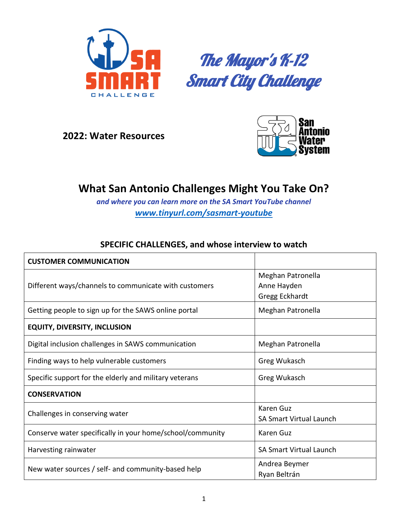

The Mayor's K-12 **Smart City Challenge** 

**2022: Water Resources**



## **What San Antonio Challenges Might You Take On?**

*and where you can learn more on the SA Smart YouTube channel [www.tinyurl.com/sasmart-youtube](http://www.tinyurl.com/sasmart-youtube)*

## **SPECIFIC CHALLENGES, and whose interview to watch**

| <b>CUSTOMER COMMUNICATION</b>                             |                                                    |
|-----------------------------------------------------------|----------------------------------------------------|
| Different ways/channels to communicate with customers     | Meghan Patronella<br>Anne Hayden<br>Gregg Eckhardt |
| Getting people to sign up for the SAWS online portal      | Meghan Patronella                                  |
| <b>EQUITY, DIVERSITY, INCLUSION</b>                       |                                                    |
| Digital inclusion challenges in SAWS communication        | Meghan Patronella                                  |
| Finding ways to help vulnerable customers                 | Greg Wukasch                                       |
| Specific support for the elderly and military veterans    | Greg Wukasch                                       |
| <b>CONSERVATION</b>                                       |                                                    |
| Challenges in conserving water                            | Karen Guz<br><b>SA Smart Virtual Launch</b>        |
| Conserve water specifically in your home/school/community | Karen Guz                                          |
| Harvesting rainwater                                      | <b>SA Smart Virtual Launch</b>                     |
| New water sources / self- and community-based help        | Andrea Beymer<br>Ryan Beltrán                      |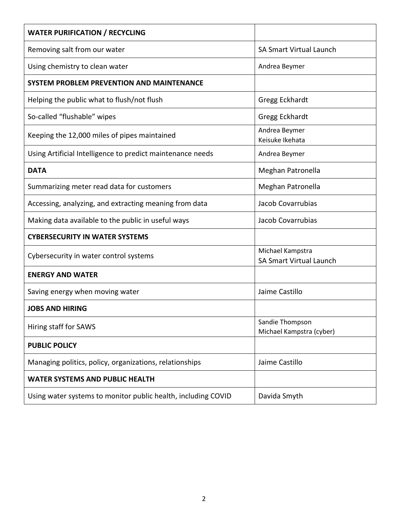| <b>WATER PURIFICATION / RECYCLING</b>                         |                                                    |
|---------------------------------------------------------------|----------------------------------------------------|
| Removing salt from our water                                  | <b>SA Smart Virtual Launch</b>                     |
| Using chemistry to clean water                                | Andrea Beymer                                      |
| SYSTEM PROBLEM PREVENTION AND MAINTENANCE                     |                                                    |
| Helping the public what to flush/not flush                    | Gregg Eckhardt                                     |
| So-called "flushable" wipes                                   | Gregg Eckhardt                                     |
| Keeping the 12,000 miles of pipes maintained                  | Andrea Beymer<br>Keisuke Ikehata                   |
| Using Artificial Intelligence to predict maintenance needs    | Andrea Beymer                                      |
| <b>DATA</b>                                                   | Meghan Patronella                                  |
| Summarizing meter read data for customers                     | Meghan Patronella                                  |
| Accessing, analyzing, and extracting meaning from data        | Jacob Covarrubias                                  |
| Making data available to the public in useful ways            | Jacob Covarrubias                                  |
| <b>CYBERSECURITY IN WATER SYSTEMS</b>                         |                                                    |
| Cybersecurity in water control systems                        | Michael Kampstra<br><b>SA Smart Virtual Launch</b> |
| <b>ENERGY AND WATER</b>                                       |                                                    |
| Saving energy when moving water                               | Jaime Castillo                                     |
| <b>JOBS AND HIRING</b>                                        |                                                    |
| Hiring staff for SAWS                                         | Sandie Thompson<br>Michael Kampstra (cyber)        |
| <b>PUBLIC POLICY</b>                                          |                                                    |
| Managing politics, policy, organizations, relationships       | Jaime Castillo                                     |
| <b>WATER SYSTEMS AND PUBLIC HEALTH</b>                        |                                                    |
| Using water systems to monitor public health, including COVID | Davida Smyth                                       |